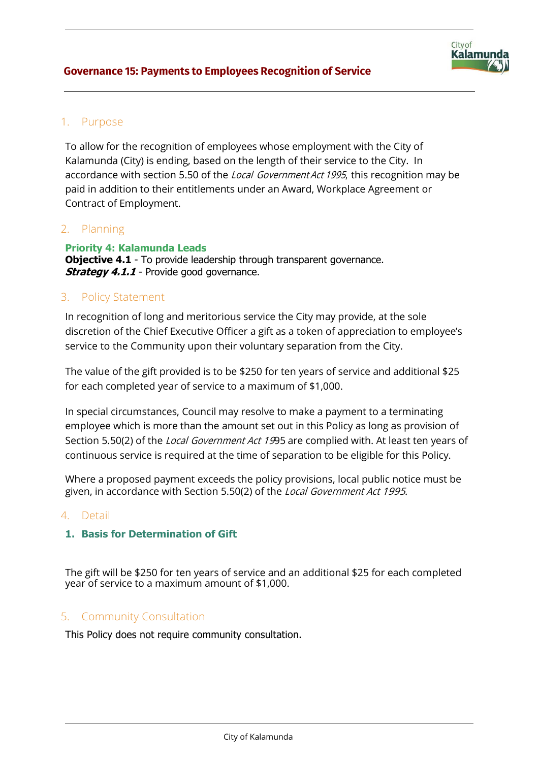

# 1. Purpose

To allow for the recognition of employees whose employment with the City of Kalamunda (City) is ending, based on the length of their service to the City. In accordance with section 5.50 of the *Local Government Act 1995*, this recognition may be paid in addition to their entitlements under an Award, Workplace Agreement or Contract of Employment.

# 2. Planning

**Priority 4: Kalamunda Leads Objective 4.1** - To provide leadership through transparent governance. **Strategy 4.1.1** - Provide good governance.

## 3. Policy Statement

In recognition of long and meritorious service the City may provide, at the sole discretion of the Chief Executive Officer a gift as a token of appreciation to employee's service to the Community upon their voluntary separation from the City.

The value of the gift provided is to be \$250 for ten years of service and additional \$25 for each completed year of service to a maximum of \$1,000.

In special circumstances, Council may resolve to make a payment to a terminating employee which is more than the amount set out in this Policy as long as provision of Section 5.50(2) of the *Local Government Act 19*95 are complied with. At least ten years of continuous service is required at the time of separation to be eligible for this Policy.

Where a proposed payment exceeds the policy provisions, local public notice must be given, in accordance with Section 5.50(2) of the Local Government Act 1995.

## 4. Detail

## **1. Basis for Determination of Gift**

The gift will be \$250 for ten years of service and an additional \$25 for each completed year of service to a maximum amount of \$1,000.

## 5. Community Consultation

This Policy does not require community consultation.